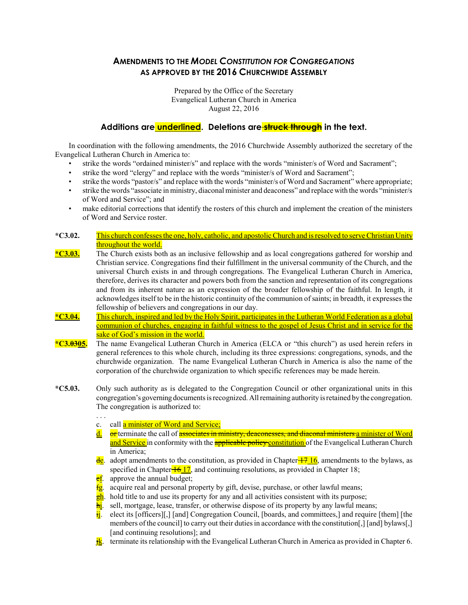# AMENDMENTS TO THE MODEL CONSTITUTION FOR CONGREGATIONS AS APPROVED BY THE 2016 CHURCHWIDE ASSEMBLY

Prepared by the Office of the Secretary Evangelical Lutheran Church in America August 22, 2016

### Additions are underlined. Deletions are struck through in the text.

In coordination with the following amendments, the 2016 Churchwide Assembly authorized the secretary of the Evangelical Lutheran Church in America to:

- strike the words "ordained minister/s" and replace with the words "minister/s of Word and Sacrament";
- strike the word "clergy" and replace with the words "minister/s of Word and Sacrament";
- strike the words "pastor/s" and replace with the words "minister/s of Word and Sacrament" where appropriate;
- strike the words "associate in ministry, diaconal minister and deaconess" and replace with the words "minister/s of Word and Service"; and
- make editorial corrections that identify the rosters of this church and implement the creation of the ministers of Word and Service roster.
- \*C3.02. This church confessesthe one, holy, catholic, and apostolic Church and isresolved to serveChristian Unity throughout the world.
- \*C3.03. The Church exists both as an inclusive fellowship and as local congregations gathered for worship and Christian service. Congregations find their fulfillment in the universal community of the Church, and the universal Church exists in and through congregations. The Evangelical Lutheran Church in America, therefore, derives its character and powers both from the sanction and representation of its congregations and from its inherent nature as an expression of the broader fellowship of the faithful. In length, it acknowledges itself to be in the historic continuity of the communion of saints; in breadth, it expresses the fellowship of believers and congregations in our day.
- \*C3.04. This church, inspired and led by the Holy Spirit, participates in the Lutheran World Federation as a global communion of churches, engaging in faithful witness to the gospel of Jesus Christ and in service for the sake of God's mission in the world.
- \*C3.0305. The name Evangelical Lutheran Church in America (ELCA or "this church") as used herein refers in general references to this whole church, including its three expressions: congregations, synods, and the churchwide organization. The name Evangelical Lutheran Church in America is also the name of the corporation of the churchwide organization to which specific references may be made herein.
- \*C5.03. Only such authority as is delegated to the Congregation Council or other organizational units in this congregation's governing documents is recognized. All remaining authority is retained by the congregation. The congregation is authorized to:
	- . . .
	- c. call a minister of Word and Service;
	- $\frac{d}{dx}$  or terminate the call of associates in ministry, deaconesses, and diaconal ministers a minister of Word and Service in conformity with the **applicable policy constitution** of the Evangelical Lutheran Church in America;
	- $\frac{de}{dc}$ . adopt amendments to the constitution, as provided in Chapter  $\frac{17 \cdot 16}{17}$ , amendments to the bylaws, as specified in Chapter  $\frac{16}{17}$ , and continuing resolutions, as provided in Chapter 18;
	- **ef**. approve the annual budget;
	- $f_{\rm g}$ . acquire real and personal property by gift, devise, purchase, or other lawful means;
	- $\frac{gh}{gh}$ . hold title to and use its property for any and all activities consistent with its purpose;
	- $\frac{h_i}{\hbar}$ . sell, mortgage, lease, transfer, or otherwise dispose of its property by any lawful means;
	- $\frac{1}{\text{H}}$  elect its [officers][,] [and] Congregation Council, [boards, and committees,] and require [them] [the members of the council] to carry out their duties in accordance with the constitution[,] [and] bylaws[,] [and continuing resolutions]; and
	- $\frac{1}{k}$ . terminate its relationship with the Evangelical Lutheran Church in America as provided in Chapter 6.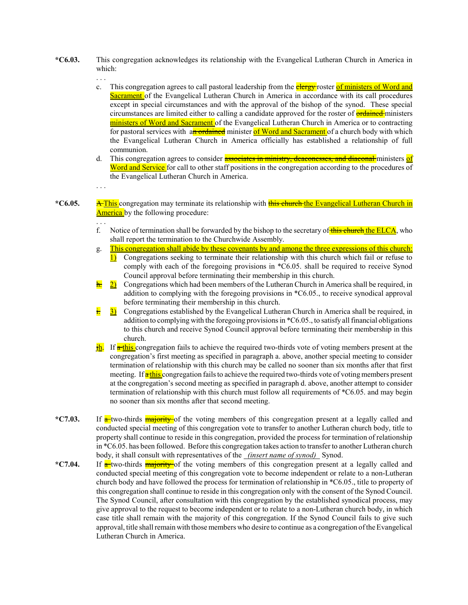- \*C6.03. This congregation acknowledges its relationship with the Evangelical Lutheran Church in America in which:
	- . . .
	- c. This congregation agrees to call pastoral leadership from the **clergy** roster of ministers of Word and Sacrament of the Evangelical Lutheran Church in America in accordance with its call procedures except in special circumstances and with the approval of the bishop of the synod. These special circumstances are limited either to calling a candidate approved for the roster of **ordained** ministers ministers of Word and Sacrament of the Evangelical Lutheran Church in America or to contracting for pastoral services with an ordained minister of Word and Sacrament of a church body with which the Evangelical Lutheran Church in America officially has established a relationship of full communion.
	- d. This congregation agrees to consider **associates in ministry, deaconesses, and diaconal** ministers of Word and Service for call to other staff positions in the congregation according to the procedures of the Evangelical Lutheran Church in America.

. . .

. . .

\*C6.05. A This congregation may terminate its relationship with this church the Evangelical Lutheran Church in America by the following procedure:

- f. Notice of termination shall be forwarded by the bishop to the secretary of this church the ELCA, who shall report the termination to the Churchwide Assembly.
- g. This congregation shall abide by these covenants by and among the three expressions of this church:
- 1) Congregations seeking to terminate their relationship with this church which fail or refuse to comply with each of the foregoing provisions in \*C6.05. shall be required to receive Synod Council approval before terminating their membership in this church.
- $\frac{h}{2}$  Congregations which had been members of the Lutheran Church in America shall be required, in addition to complying with the foregoing provisions in \*C6.05., to receive synodical approval before terminating their membership in this church.
- 3) Congregations established by the Evangelical Lutheran Church in America shall be required, in addition to complying with the foregoing provisions in  $\text{*}C6.05$ , to satisfy all financial obligations to this church and receive Synod Council approval before terminating their membership in this church.
- **jh.** If a this congregation fails to achieve the required two-thirds vote of voting members present at the congregation's first meeting as specified in paragraph a. above, another special meeting to consider termination of relationship with this church may be called no sooner than six months after that first meeting. If **a** this congregation fails to achieve the required two-thirds vote of voting members present at the congregation's second meeting as specified in paragraph d. above, another attempt to consider termination of relationship with this church must follow all requirements of \*C6.05. and may begin no sooner than six months after that second meeting.
- \*C7.03. If a two-thirds majority of the voting members of this congregation present at a legally called and conducted special meeting of this congregation vote to transfer to another Lutheran church body, title to property shall continue to reside in this congregation, provided the process for termination of relationship in \*C6.05. has been followed. Before this congregation takes action to transfer to another Lutheran church body, it shall consult with representatives of the *(insert name of synod)* Synod.
- \*C7.04. If a two-thirds majority of the voting members of this congregation present at a legally called and conducted special meeting of this congregation vote to become independent or relate to a non-Lutheran church body and have followed the process for termination of relationship in \*C6.05., title to property of this congregation shall continue to reside in this congregation only with the consent of the Synod Council. The Synod Council, after consultation with this congregation by the established synodical process, may give approval to the request to become independent or to relate to a non-Lutheran church body, in which case title shall remain with the majority of this congregation. If the Synod Council fails to give such approval, title shall remain with those members who desire to continue as a congregation of the Evangelical Lutheran Church in America.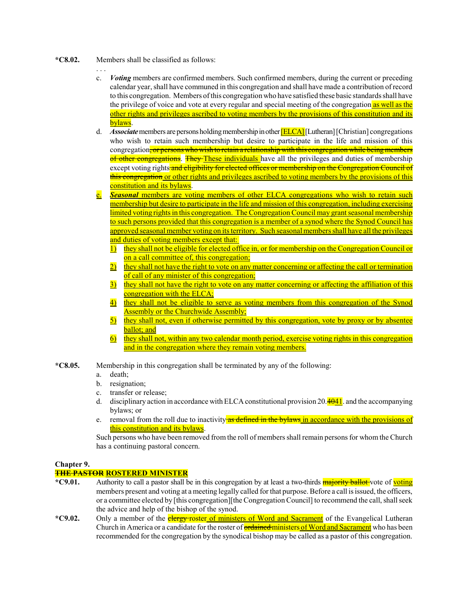- \*C8.02. Members shall be classified as follows:
	- . . .
	- c. Voting members are confirmed members. Such confirmed members, during the current or preceding calendar year, shall have communed in this congregation and shall have made a contribution of record to this congregation. Members of this congregation who have satisfied these basic standards shall have the privilege of voice and vote at every regular and special meeting of the congregation as well as the other rights and privileges ascribed to voting members by the provisions of this constitution and its bylaws.
	- d. Associate members are persons holding membership in other **[ELCA]** [Lutheran] [Christian] congregations who wish to retain such membership but desire to participate in the life and mission of this congregation, or persons who wish to retain a relationship with this congregation while being members of other congregations. They These individuals have all the privileges and duties of membership except voting rights and eligibility for elected offices or membership on the Congregation Council of this congregation or other rights and privileges ascribed to voting members by the provisions of this constitution and its bylaws.
	- **e.** Seasonal members are voting members of other ELCA congregations who wish to retain such membership but desire to participate in the life and mission of this congregation, including exercising limited voting rights in this congregation. The Congregation Council may grant seasonal membership to such persons provided that this congregation is a member of a synod where the Synod Council has approved seasonal member voting on its territory. Such seasonal members shall have all the privileges and duties of voting members except that:
		- 1) they shall not be eligible for elected office in, or for membership on the Congregation Council or on a call committee of, this congregation;
		- 2) they shall not have the right to vote on any matter concerning or affecting the call or termination of call of any minister of this congregation;
		- 3) they shall not have the right to vote on any matter concerning or affecting the affiliation of this congregation with the ELCA;
		- 4) they shall not be eligible to serve as voting members from this congregation of the Synod Assembly or the Churchwide Assembly;
		- 5) they shall not, even if otherwise permitted by this congregation, vote by proxy or by absentee ballot; and
		- 6) they shall not, within any two calendar month period, exercise voting rights in this congregation and in the congregation where they remain voting members.

\*C8.05. Membership in this congregation shall be terminated by any of the following:

- a. death;
- b. resignation;
- c. transfer or release;
- d. disciplinary action in accordance with ELCA constitutional provision 20. $\frac{4041}{1}$  and the accompanying bylaws; or
- e. removal from the roll due to inactivity as defined in the bylaws in accordance with the provisions of this constitution and its bylaws.

Such persons who have been removed from the roll of members shall remain persons for whom the Church has a continuing pastoral concern.

### Chapter 9.

## **THE PASTOR ROSTERED MINISTER**

- \*C9.01. Authority to call a pastor shall be in this congregation by at least a two-thirds **majority ballot** vote of **voting** members present and voting at a meeting legally called for that purpose. Before a call is issued, the officers, or a committee elected by [this congregation][the Congregation Council] to recommend the call, shall seek the advice and help of the bishop of the synod.
- \*C9.02. Only a member of the **clergy** roster of ministers of Word and Sacrament of the Evangelical Lutheran Church in America or a candidate for the roster of **ordained ministers of Word and Sacrament** who has been recommended for the congregation by the synodical bishop may be called as a pastor of this congregation.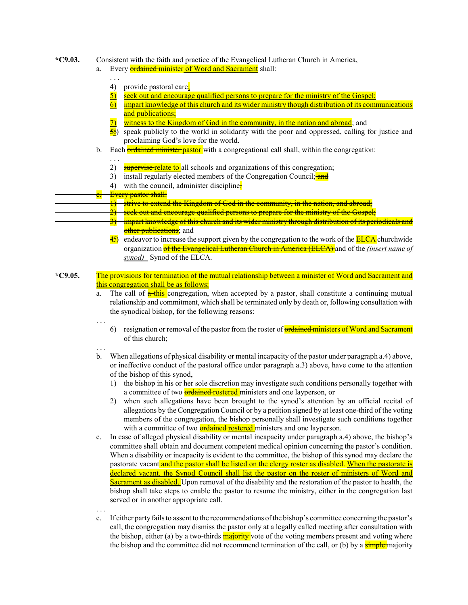#### \*C9.03. Consistent with the faith and practice of the Evangelical Lutheran Church in America,

- Every **ordained minister of Word and Sacrament** shall:
	- . . . 4) provide pastoral care;
	- 5) seek out and encourage qualified persons to prepare for the ministry of the Gospel;
	- 6) impart knowledge of this church and its wider ministry though distribution of its communications and publications;
	- 7) witness to the Kingdom of God in the community, in the nation and abroad; and
	- $\frac{58}{28}$  speak publicly to the world in solidarity with the poor and oppressed, calling for justice and proclaiming God's love for the world.
	- b. Each **ordained minister pastor** with a congregational call shall, within the congregation:
		- . . . 2) supervise relate to all schools and organizations of this congregation;
		- 3) install regularly elected members of the Congregation Council; and
		- 4) with the council, administer discipline.
- Every pastor shall:
	- 1) strive to extend the Kingdom of God in the community, in the nation, and abroad;
		- seek out and encourage qualified persons to prepare for the ministry of the Gospel;
			- impart knowledge of this church and its wider ministry through distribution of its periodicals and other publications; and
			- $\frac{45}{2}$  endeavor to increase the support given by the congregation to the work of the **ELCA** churchwide organization of the Evangelical Lutheran Church in America (ELCA) and of the *(insert name of* synod) Synod of the ELCA.
- \*C9.05. The provisions for termination of the mutual relationship between a minister of Word and Sacrament and this congregation shall be as follows:
	- a. The call of  $\frac{1}{\alpha}$  this congregation, when accepted by a pastor, shall constitute a continuing mutual relationship and commitment, which shall be terminated only by death or, following consultation with the synodical bishop, for the following reasons:
		- 6) resignation or removal of the pastor from the roster of **ordained ministers of Word and Sacrament** of this church;
	- . . .

. . .

. . .

- b. When allegations of physical disability or mental incapacity of the pastor under paragraph a.4) above, or ineffective conduct of the pastoral office under paragraph a.3) above, have come to the attention of the bishop of this synod,
	- 1) the bishop in his or her sole discretion may investigate such conditions personally together with a committee of two **ordained rostered** ministers and one layperson, or
	- 2) when such allegations have been brought to the synod's attention by an official recital of allegations by the Congregation Council or by a petition signed by at least one-third of the voting members of the congregation, the bishop personally shall investigate such conditions together with a committee of two **ordained rostered** ministers and one layperson.
- c. In case of alleged physical disability or mental incapacity under paragraph a.4) above, the bishop's committee shall obtain and document competent medical opinion concerning the pastor's condition. When a disability or incapacity is evident to the committee, the bishop of this synod may declare the pastorate vacant and the pastor shall be listed on the clergy roster as disabled. When the pastorate is declared vacant, the Synod Council shall list the pastor on the roster of ministers of Word and Sacrament as disabled. Upon removal of the disability and the restoration of the pastor to health, the bishop shall take steps to enable the pastor to resume the ministry, either in the congregation last served or in another appropriate call.
- e. If either party fails to assent to the recommendations of the bishop's committee concerning the pastor's call, the congregation may dismiss the pastor only at a legally called meeting after consultation with the bishop, either (a) by a two-thirds **majority** vote of the voting members present and voting where the bishop and the committee did not recommend termination of the call, or (b) by a **simple** majority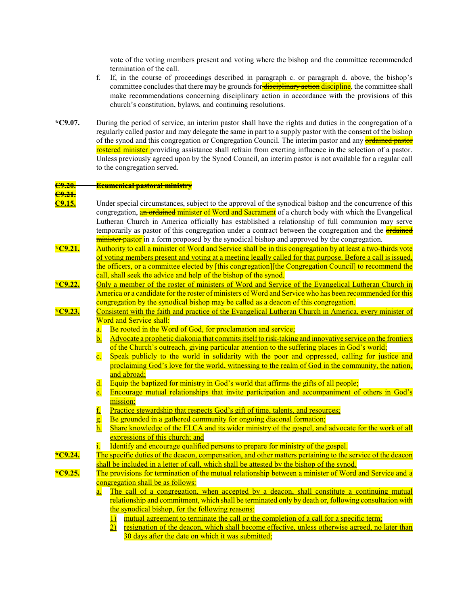vote of the voting members present and voting where the bishop and the committee recommended termination of the call.

- f. If, in the course of proceedings described in paragraph c. or paragraph d. above, the bishop's committee concludes that there may be grounds for **disciplinary action discipline**, the committee shall make recommendations concerning disciplinary action in accordance with the provisions of this church's constitution, bylaws, and continuing resolutions.
- \*C9.07. During the period of service, an interim pastor shall have the rights and duties in the congregation of a regularly called pastor and may delegate the same in part to a supply pastor with the consent of the bishop of the synod and this congregation or Congregation Council. The interim pastor and any **ordained pastor** rostered minister providing assistance shall refrain from exerting influence in the selection of a pastor. Unless previously agreed upon by the Synod Council, an interim pastor is not available for a regular call to the congregation served.

#### C9.20. Ecumenical pastoral ministry

## C9.21.

- 
- C9.15. Under special circumstances, subject to the approval of the synodical bishop and the concurrence of this congregation, an ordained minister of Word and Sacrament of a church body with which the Evangelical Lutheran Church in America officially has established a relationship of full communion may serve temporarily as pastor of this congregation under a contract between the congregation and the **ordained minister pastor** in a form proposed by the synodical bishop and approved by the congregation.
- \*C9.21. Authority to call a minister of Word and Service shall be in this congregation by at least a two-thirds vote of voting members present and voting at a meeting legally called for that purpose. Before a call is issued, the officers, or a committee elected by [this congregation][the Congregation Council] to recommend the call, shall seek the advice and help of the bishop of the synod.
- \*C9.22. Only a member of the roster of ministers of Word and Service of the Evangelical Lutheran Church in America or a candidate for the roster of ministers of Word and Service who has been recommended for this congregation by the synodical bishop may be called as a deacon of this congregation.
- \*C9.23. Consistent with the faith and practice of the Evangelical Lutheran Church in America, every minister of Word and Service shall:
	- a. Be rooted in the Word of God, for proclamation and service;
	- b. Advocate a prophetic diakonia that commits itself to risk-taking and innovative service on the frontiers of the Church's outreach, giving particular attention to the suffering places in God's world;
	- c. Speak publicly to the world in solidarity with the poor and oppressed, calling for justice and proclaiming God's love for the world, witnessing to the realm of God in the community, the nation, and abroad;
	- d. Equip the baptized for ministry in God's world that affirms the gifts of all people;
	- e. Encourage mutual relationships that invite participation and accompaniment of others in God's mission:
	- f. Practice stewardship that respects God's gift of time, talents, and resources;
	- g. Be grounded in a gathered community for ongoing diaconal formation;
	- h. Share knowledge of the ELCA and its wider ministry of the gospel, and advocate for the work of all expressions of this church; and
	- Identify and encourage qualified persons to prepare for ministry of the gospel.
- \*C9.24. The specific duties of the deacon, compensation, and other matters pertaining to the service of the deacon shall be included in a letter of call, which shall be attested by the bishop of the synod.

- \*C9.25. The provisions for termination of the mutual relationship between a minister of Word and Service and a congregation shall be as follows:
	- a. The call of a congregation, when accepted by a deacon, shall constitute a continuing mutual relationship and commitment, which shall be terminated only by death or, following consultation with the synodical bishop, for the following reasons:
		- 1) mutual agreement to terminate the call or the completion of a call for a specific term;
		- 2) resignation of the deacon, which shall become effective, unless otherwise agreed, no later than 30 days after the date on which it was submitted;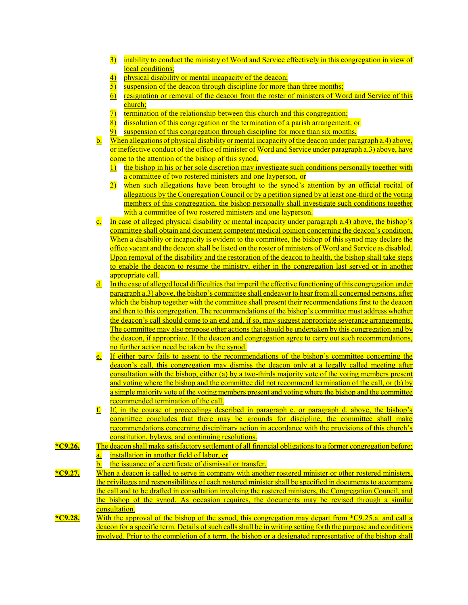- 3) inability to conduct the ministry of Word and Service effectively in this congregation in view of local conditions;
- 4) physical disability or mental incapacity of the deacon;
- 5) suspension of the deacon through discipline for more than three months;
- 6) resignation or removal of the deacon from the roster of ministers of Word and Service of this church;
- 7) termination of the relationship between this church and this congregation;
- 8) dissolution of this congregation or the termination of a parish arrangement; or
- 9) suspension of this congregation through discipline for more than six months.
- b. When allegations of physical disability or mental incapacity of the deacon under paragraph a.4) above, or ineffective conduct of the office of minister of Word and Service under paragraph a.3) above, have come to the attention of the bishop of this synod,
	- 1) the bishop in his or her sole discretion may investigate such conditions personally together with a committee of two rostered ministers and one layperson, or
	- 2) when such allegations have been brought to the synod's attention by an official recital of allegations by the Congregation Council or by a petition signed by at least one-third of the voting members of this congregation, the bishop personally shall investigate such conditions together with a committee of two rostered ministers and one layperson.
- c. In case of alleged physical disability or mental incapacity under paragraph a.4) above, the bishop's committee shall obtain and document competent medical opinion concerning the deacon's condition. When a disability or incapacity is evident to the committee, the bishop of this synod may declare the office vacant and the deacon shall be listed on the roster of ministers of Word and Service as disabled. Upon removal of the disability and the restoration of the deacon to health, the bishop shall take steps to enable the deacon to resume the ministry, either in the congregation last served or in another appropriate call.
- d. In the case of alleged local difficultiesthat imperil the effective functioning ofthis congregation under paragraph a.3) above, the bishop's committee shall endeavor to hear from all concerned persons, after which the bishop together with the committee shall present their recommendations first to the deacon and then to this congregation. The recommendations of the bishop's committee must address whether the deacon's call should come to an end and, if so, may suggest appropriate severance arrangements. The committee may also propose other actions that should be undertaken by this congregation and by the deacon, if appropriate. If the deacon and congregation agree to carry out such recommendations, no further action need be taken by the synod.
- e. If either party fails to assent to the recommendations of the bishop's committee concerning the deacon's call, this congregation may dismiss the deacon only at a legally called meeting after consultation with the bishop, either (a) by a two-thirds majority vote of the voting members present and voting where the bishop and the committee did not recommend termination of the call, or (b) by a simple majority vote of the voting members present and voting where the bishop and the committee recommended termination of the call.
- $f<sub>l</sub>$  If, in the course of proceedings described in paragraph c. or paragraph d. above, the bishop's committee concludes that there may be grounds for discipline, the committee shall make recommendations concerning disciplinary action in accordance with the provisions of this church's constitution, bylaws, and continuing resolutions.
- \* $C9.26$ . The deacon shall make satisfactory settlement of all financial obligations to a former congregation before: a. installation in another field of labor, or
	- b. the issuance of a certificate of dismissal or transfer.
- \* $C9.27$ . When a deacon is called to serve in company with another rostered minister or other rostered ministers, the privileges and responsibilities of each rostered minister shall be specified in documents to accompany the call and to be drafted in consultation involving the rostered ministers, the Congregation Council, and the bishop of the synod. As occasion requires, the documents may be revised through a similar consultation.
- \*C9.28. With the approval of the bishop of the synod, this congregation may depart from  $C_2$ , and call a deacon for a specific term. Details of such calls shall be in writing setting forth the purpose and conditions involved. Prior to the completion of a term, the bishop or a designated representative of the bishop shall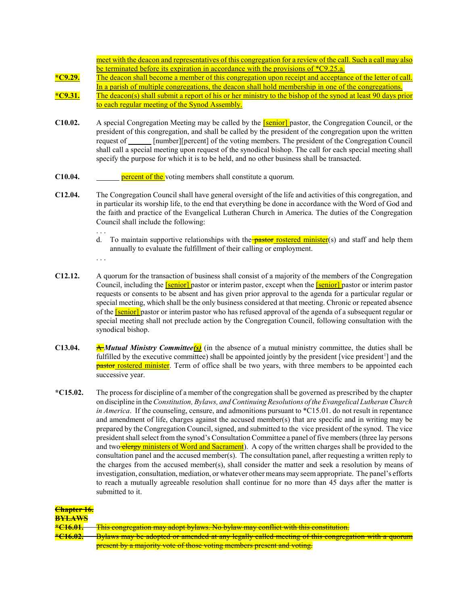meet with the deacon and representatives of this congregation for a review of the call. Such a call may also be terminated before its expiration in accordance with the provisions of \*C9.25.a.

\*C9.29. The deacon shall become a member of this congregation upon receipt and acceptance of the letter of call. In a parish of multiple congregations, the deacon shall hold membership in one of the congregations. \*C9.31. The deacon(s) shall submit a report of his or her ministry to the bishop of the synod at least 90 days prior

- to each regular meeting of the Synod Assembly.
- C10.02. A special Congregation Meeting may be called by the **[senior]** pastor, the Congregation Council, or the president of this congregation, and shall be called by the president of the congregation upon the written request of [number][percent] of the voting members. The president of the Congregation Council shall call a special meeting upon request of the synodical bishop. The call for each special meeting shall specify the purpose for which it is to be held, and no other business shall be transacted.
- C10.04. **percent of the** voting members shall constitute a quorum.
- C12.04. The Congregation Council shall have general oversight of the life and activities of this congregation, and in particular its worship life, to the end that everything be done in accordance with the Word of God and the faith and practice of the Evangelical Lutheran Church in America. The duties of the Congregation Council shall include the following:
	- d. To maintain supportive relationships with the **pastor rostered minister**(s) and staff and help them annually to evaluate the fulfillment of their calling or employment.
	- . . .

. . .

- C12.12. A quorum for the transaction of business shall consist of a majority of the members of the Congregation Council, including the **[senior]** pastor or interim pastor, except when the **[senior]** pastor or interim pastor requests or consents to be absent and has given prior approval to the agenda for a particular regular or special meeting, which shall be the only business considered at that meeting. Chronic or repeated absence of the **[senior]** pastor or interim pastor who has refused approval of the agenda of a subsequent regular or special meeting shall not preclude action by the Congregation Council, following consultation with the synodical bishop.
- C13.04. A Mutual Ministry Committee(s) (in the absence of a mutual ministry committee, the duties shall be fulfilled by the executive committee) shall be appointed jointly by the president [vice president<sup>1</sup>] and the **pastor rostered minister**. Term of office shall be two years, with three members to be appointed each successive year.
- \*C15.02. The process for discipline of a member of the congregation shall be governed as prescribed by the chapter on discipline in the Constitution, Bylaws, and Continuing Resolutions of the Evangelical Lutheran Church in America. If the counseling, censure, and admonitions pursuant to  $*C15.01$ . do not result in repentance and amendment of life, charges against the accused member(s) that are specific and in writing may be prepared by the Congregation Council, signed, and submitted to the vice president of the synod. The vice president shall select from the synod's Consultation Committee a panel of five members (three lay persons and two clergy ministers of Word and Sacrament). A copy of the written charges shall be provided to the consultation panel and the accused member(s). The consultation panel, after requesting a written reply to the charges from the accused member(s), shall consider the matter and seek a resolution by means of investigation, consultation, mediation, or whatever other means may seem appropriate. The panel's efforts to reach a mutually agreeable resolution shall continue for no more than 45 days after the matter is submitted to it.

| Chapter 16.         |                                                                                                          |
|---------------------|----------------------------------------------------------------------------------------------------------|
| <b>BYLAWS</b>       |                                                                                                          |
| <del>*C16.01.</del> | This congregation may adopt bylaws. No bylaw may conflict with this constitution.                        |
|                     | Dulawa may ka adamtad ang mga dad at any logally sallad maating at this congregation with a guarning     |
| <del>*C16.02.</del> | <u>Bylaws may be adopted or amended at any legally called meeting of this congregation with a quorum</u> |
|                     | present by a majority vote of those voting members present and voting.                                   |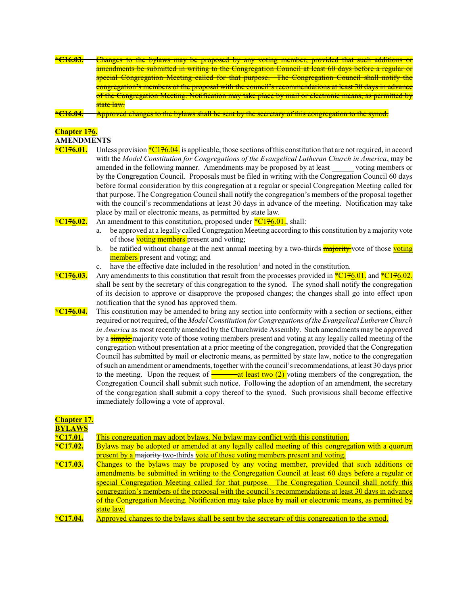| $+C1C02$<br>CIV.VJ. | <u>Unanges to the bylaws may be proposed by any voling member, provided that such additions of</u>             |
|---------------------|----------------------------------------------------------------------------------------------------------------|
|                     | <u>amendments be submitted in writing to the Congregation Council at least 60 days before a regular or</u>     |
|                     | special Congregation Meeting called for that purpose. The Congregation Council shall notify the                |
|                     | <u>сопегеданон в піснюєїв от чіє ргороваг мин ще соціюн в гесонініснадіонв агтеаві эм цаув ні ацуансе</u>      |
|                     | <u>of the Congregation Iviceting. Inothication may take place by mail or electronic means, as permitted by</u> |
|                     | $-+++$ $ -$<br><del>state</del> law.                                                                           |

\*C16.04. Approved changes to the bylaws shall be sent by the secretary of this congregation to the synod.

#### Chapter 176. AMENDMENTS

- 
- \*C176.01. Unless provision  ${}^*C176.04$ , is applicable, those sections of this constitution that are not required, in accord with the Model Constitution for Congregations of the Evangelical Lutheran Church in America, may be amended in the following manner. Amendments may be proposed by at least voting members or by the Congregation Council. Proposals must be filed in writing with the Congregation Council 60 days before formal consideration by this congregation at a regular or special Congregation Meeting called for that purpose. The Congregation Council shall notify the congregation's members of the proposal together with the council's recommendations at least 30 days in advance of the meeting. Notification may take place by mail or electronic means, as permitted by state law.
- \*C176.02. An amendment to this constitution, proposed under \*C176.01., shall:
	- a. be approved at a legally called Congregation Meeting according to this constitution by a majority vote of those voting members present and voting;
	- b. be ratified without change at the next annual meeting by a two-thirds **majority** vote of those voting members present and voting; and
	- $\epsilon$ . have the effective date included in the resolution<sup>1</sup> and noted in the constitution.
- \*C176.03. Any amendments to this constitution that result from the processes provided in \*C176.01. and \*C176.02. shall be sent by the secretary of this congregation to the synod. The synod shall notify the congregation of its decision to approve or disapprove the proposed changes; the changes shall go into effect upon notification that the synod has approved them.
- \* $C176.04$ . This constitution may be amended to bring any section into conformity with a section or sections, either required or not required, of the Model Constitution for Congregations of the Evangelical Lutheran Church in America as most recently amended by the Churchwide Assembly. Such amendments may be approved by a **simple** majority vote of those voting members present and voting at any legally called meeting of the congregation without presentation at a prior meeting of the congregation, provided that the Congregation Council has submitted by mail or electronic means, as permitted by state law, notice to the congregation of such an amendment or amendments, together with the council's recommendations, at least 30 days prior to the meeting. Upon the request of  $\frac{du}{dx}$  at least two (2) voting members of the congregation, the Congregation Council shall submit such notice. Following the adoption of an amendment, the secretary of the congregation shall submit a copy thereof to the synod. Such provisions shall become effective immediately following a vote of approval.

| <b>Chapter 17.</b> |                                                                                                       |
|--------------------|-------------------------------------------------------------------------------------------------------|
| <b>BYLAWS</b>      |                                                                                                       |
| $*C17.01.$         | This congregation may adopt bylaws. No bylaw may conflict with this constitution.                     |
| $*C17.02.$         | Bylaws may be adopted or amended at any legally called meeting of this congregation with a quorum     |
|                    | present by a majority two-thirds vote of those voting members present and voting.                     |
| $*C17.03.$         | Changes to the bylaws may be proposed by any voting member, provided that such additions or           |
|                    | amendments be submitted in writing to the Congregation Council at least 60 days before a regular or   |
|                    | special Congregation Meeting called for that purpose. The Congregation Council shall notify this      |
|                    | congregation's members of the proposal with the council's recommendations at least 30 days in advance |
|                    | of the Congregation Meeting. Notification may take place by mail or electronic means, as permitted by |
|                    | state law.                                                                                            |
| $*C17.04.$         | Approved changes to the bylaws shall be sent by the secretary of this congregation to the synod.      |